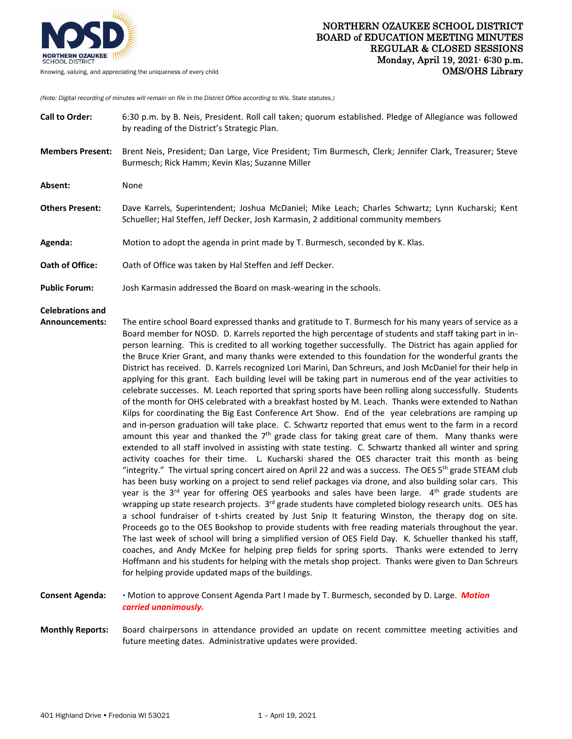

*(Note: Digital recording of minutes will remain on file in the District Office according to Wis. State statutes.)*

| <b>Call to Order:</b>                     | 6:30 p.m. by B. Neis, President. Roll call taken; quorum established. Pledge of Allegiance was followed<br>by reading of the District's Strategic Plan.                                                                                                                                                                                                                                                                                                                                                                                                                                                                                                                                                                                                                                                                                                                                                                                                                                                                                                                                                                                                                                                                                                                                                                                                                                                                                                                                                                                                                                                                                                                                                                                                                                                                                                                                                                                                                                                                                                                                                                                                                                                                                                                                                                                                                                                                                                                                                    |
|-------------------------------------------|------------------------------------------------------------------------------------------------------------------------------------------------------------------------------------------------------------------------------------------------------------------------------------------------------------------------------------------------------------------------------------------------------------------------------------------------------------------------------------------------------------------------------------------------------------------------------------------------------------------------------------------------------------------------------------------------------------------------------------------------------------------------------------------------------------------------------------------------------------------------------------------------------------------------------------------------------------------------------------------------------------------------------------------------------------------------------------------------------------------------------------------------------------------------------------------------------------------------------------------------------------------------------------------------------------------------------------------------------------------------------------------------------------------------------------------------------------------------------------------------------------------------------------------------------------------------------------------------------------------------------------------------------------------------------------------------------------------------------------------------------------------------------------------------------------------------------------------------------------------------------------------------------------------------------------------------------------------------------------------------------------------------------------------------------------------------------------------------------------------------------------------------------------------------------------------------------------------------------------------------------------------------------------------------------------------------------------------------------------------------------------------------------------------------------------------------------------------------------------------------------------|
| <b>Members Present:</b>                   | Brent Neis, President; Dan Large, Vice President; Tim Burmesch, Clerk; Jennifer Clark, Treasurer; Steve<br>Burmesch; Rick Hamm; Kevin Klas; Suzanne Miller                                                                                                                                                                                                                                                                                                                                                                                                                                                                                                                                                                                                                                                                                                                                                                                                                                                                                                                                                                                                                                                                                                                                                                                                                                                                                                                                                                                                                                                                                                                                                                                                                                                                                                                                                                                                                                                                                                                                                                                                                                                                                                                                                                                                                                                                                                                                                 |
| Absent:                                   | None                                                                                                                                                                                                                                                                                                                                                                                                                                                                                                                                                                                                                                                                                                                                                                                                                                                                                                                                                                                                                                                                                                                                                                                                                                                                                                                                                                                                                                                                                                                                                                                                                                                                                                                                                                                                                                                                                                                                                                                                                                                                                                                                                                                                                                                                                                                                                                                                                                                                                                       |
| <b>Others Present:</b>                    | Dave Karrels, Superintendent; Joshua McDaniel; Mike Leach; Charles Schwartz; Lynn Kucharski; Kent<br>Schueller; Hal Steffen, Jeff Decker, Josh Karmasin, 2 additional community members                                                                                                                                                                                                                                                                                                                                                                                                                                                                                                                                                                                                                                                                                                                                                                                                                                                                                                                                                                                                                                                                                                                                                                                                                                                                                                                                                                                                                                                                                                                                                                                                                                                                                                                                                                                                                                                                                                                                                                                                                                                                                                                                                                                                                                                                                                                    |
| Agenda:                                   | Motion to adopt the agenda in print made by T. Burmesch, seconded by K. Klas.                                                                                                                                                                                                                                                                                                                                                                                                                                                                                                                                                                                                                                                                                                                                                                                                                                                                                                                                                                                                                                                                                                                                                                                                                                                                                                                                                                                                                                                                                                                                                                                                                                                                                                                                                                                                                                                                                                                                                                                                                                                                                                                                                                                                                                                                                                                                                                                                                              |
| Oath of Office:                           | Oath of Office was taken by Hal Steffen and Jeff Decker.                                                                                                                                                                                                                                                                                                                                                                                                                                                                                                                                                                                                                                                                                                                                                                                                                                                                                                                                                                                                                                                                                                                                                                                                                                                                                                                                                                                                                                                                                                                                                                                                                                                                                                                                                                                                                                                                                                                                                                                                                                                                                                                                                                                                                                                                                                                                                                                                                                                   |
| <b>Public Forum:</b>                      | Josh Karmasin addressed the Board on mask-wearing in the schools.                                                                                                                                                                                                                                                                                                                                                                                                                                                                                                                                                                                                                                                                                                                                                                                                                                                                                                                                                                                                                                                                                                                                                                                                                                                                                                                                                                                                                                                                                                                                                                                                                                                                                                                                                                                                                                                                                                                                                                                                                                                                                                                                                                                                                                                                                                                                                                                                                                          |
| <b>Celebrations and</b><br>Announcements: | The entire school Board expressed thanks and gratitude to T. Burmesch for his many years of service as a<br>Board member for NOSD. D. Karrels reported the high percentage of students and staff taking part in in-<br>person learning. This is credited to all working together successfully. The District has again applied for<br>the Bruce Krier Grant, and many thanks were extended to this foundation for the wonderful grants the<br>District has received. D. Karrels recognized Lori Marini, Dan Schreurs, and Josh McDaniel for their help in<br>applying for this grant. Each building level will be taking part in numerous end of the year activities to<br>celebrate successes. M. Leach reported that spring sports have been rolling along successfully. Students<br>of the month for OHS celebrated with a breakfast hosted by M. Leach. Thanks were extended to Nathan<br>Kilps for coordinating the Big East Conference Art Show. End of the year celebrations are ramping up<br>and in-person graduation will take place. C. Schwartz reported that emus went to the farm in a record<br>amount this year and thanked the $7th$ grade class for taking great care of them. Many thanks were<br>extended to all staff involved in assisting with state testing. C. Schwartz thanked all winter and spring<br>activity coaches for their time. L. Kucharski shared the OES character trait this month as being<br>"integrity." The virtual spring concert aired on April 22 and was a success. The OES 5 <sup>th</sup> grade STEAM club<br>has been busy working on a project to send relief packages via drone, and also building solar cars. This<br>year is the $3^{rd}$ year for offering OES yearbooks and sales have been large. $4^{th}$ grade students are<br>wrapping up state research projects. 3 <sup>rd</sup> grade students have completed biology research units. OES has<br>a school fundraiser of t-shirts created by Just Snip It featuring Winston, the therapy dog on site.<br>Proceeds go to the OES Bookshop to provide students with free reading materials throughout the year.<br>The last week of school will bring a simplified version of OES Field Day. K. Schueller thanked his staff,<br>coaches, and Andy McKee for helping prep fields for spring sports. Thanks were extended to Jerry<br>Hoffmann and his students for helping with the metals shop project. Thanks were given to Dan Schreurs<br>for helping provide updated maps of the buildings. |
| <b>Consent Agenda:</b>                    | · Motion to approve Consent Agenda Part I made by T. Burmesch, seconded by D. Large. Motion<br>carried unanimously.                                                                                                                                                                                                                                                                                                                                                                                                                                                                                                                                                                                                                                                                                                                                                                                                                                                                                                                                                                                                                                                                                                                                                                                                                                                                                                                                                                                                                                                                                                                                                                                                                                                                                                                                                                                                                                                                                                                                                                                                                                                                                                                                                                                                                                                                                                                                                                                        |

**Monthly Reports:** Board chairpersons in attendance provided an update on recent committee meeting activities and future meeting dates. Administrative updates were provided.